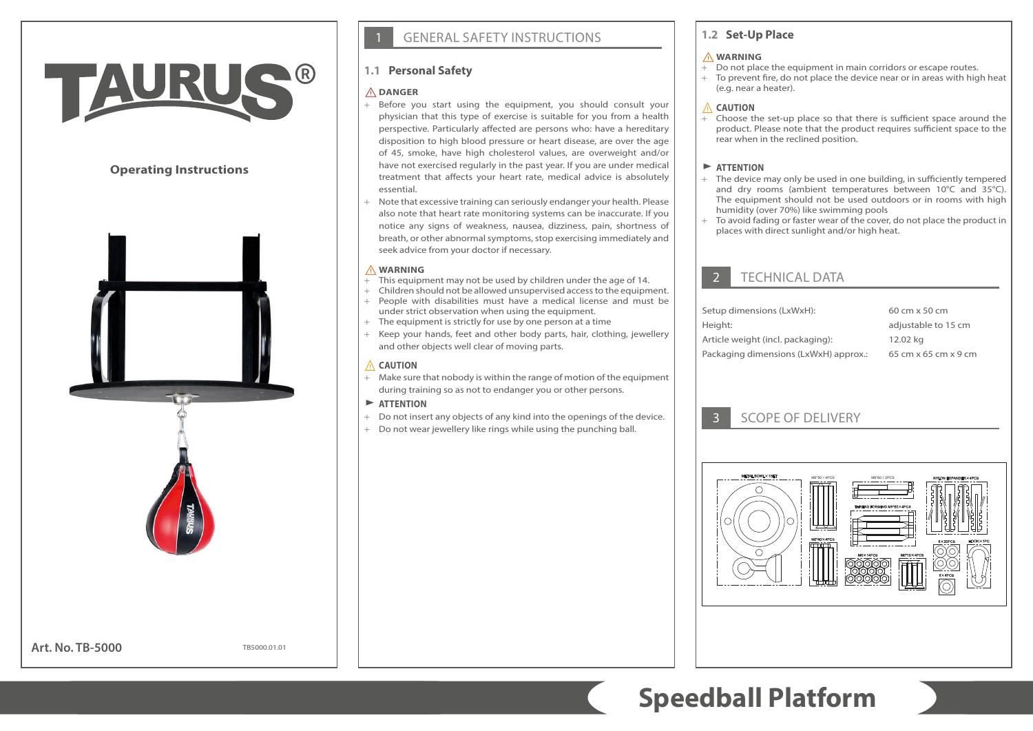# TAURU

# **Operating Instructions**



**Art. No. TB-5000**

TB5000.01.01

# **GENERAL SAFETY INSTRUCTIONS**

# **1.1 Personal Safety**

#### ⚠**DANGER**

- + Before you start using the equipment, you should consult your physician that this type of exercise is suitable for you from a health perspective. Particularly affected are persons who: have a hereditary disposition to high blood pressure or heart disease, are over the age of 45, smoke, have high cholesterol values, are overweight and/or have not exercised regularly in the past year. If you are under medical treatment that affects your heart rate, medical advice is absolutely essential.
- + Note that excessive training can seriously endanger your health. Please also note that heart rate monitoring systems can be inaccurate. If you notice any signs of weakness, nausea, dizziness, pain, shortness of breath, or other abnormal symptoms, stop exercising immediately and seek advice from your doctor if necessary.

#### ⚠**WARNING**

- + This equipment may not be used by children under the age of 14.
- + Children should not be allowed unsupervised access to the equipment. + People with disabilities must have a medical license and must be under strict observation when using the equipment.
- + The equipment is strictly for use by one person at a time
- + Keep your hands, feet and other body parts, hair, clothing, jewellery and other objects well clear of moving parts.

#### ⚠ **CAUTION**

+ Make sure that nobody is within the range of motion of the equipment during training so as not to endanger you or other persons.

#### $\blacktriangleright$  **ATTENTION**

- + Do not insert any objects of any kind into the openings of the device.
- + Do not wear jewellery like rings while using the punching ball.

# **1.2 Set-Up Place**

#### ⚠**WARNING**

- + Do not place the equipment in main corridors or escape routes.
- + To prevent fire, do not place the device near or in areas with high heat (e.g. near a heater).

#### ⚠ **CAUTION**

Choose the set-up place so that there is sufficient space around the product. Please note that the product requires sufficient space to the rear when in the reclined position.

### $\blacktriangleright$  **ATTENTION**

- + The device may only be used in one building, in sufficiently tempered and dry rooms (ambient temperatures between 10°C and 35°C). The equipment should not be used outdoors or in rooms with high humidity (over 70%) like swimming pools
- + To avoid fading or faster wear of the cover, do not place the product in places with direct sunlight and/or high heat.

# **TECHNICAL DATA**

| 60 cm x 50 cm        |
|----------------------|
| adjustable to 15 cm  |
| 12.02 kg             |
| 65 cm x 65 cm x 9 cm |
|                      |

# 3 SCOPE OF DELIVERY



# **Speedball Platform**